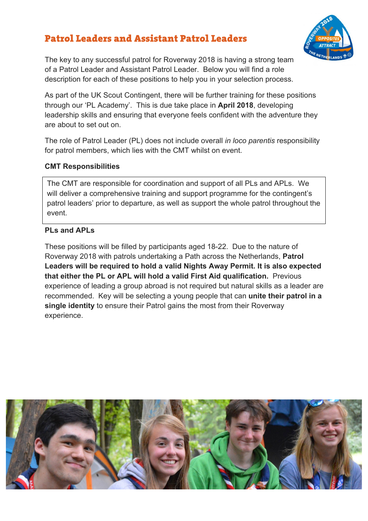# Patrol Leaders and Assistant Patrol Leaders



The key to any successful patrol for Roverway 2018 is having a strong team of a Patrol Leader and Assistant Patrol Leader. Below you will find a role description for each of these positions to help you in your selection process.

As part of the UK Scout Contingent, there will be further training for these positions through our 'PL Academy'. This is due take place in **April 2018**, developing leadership skills and ensuring that everyone feels confident with the adventure they are about to set out on.

The role of Patrol Leader (PL) does not include overall *in loco parentis* responsibility for patrol members, which lies with the CMT whilst on event.

#### **CMT Responsibilities**

The CMT are responsible for coordination and support of all PLs and APLs. We will deliver a comprehensive training and support programme for the contingent's patrol leaders' prior to departure, as well as support the whole patrol throughout the event.

#### **PLs and APLs**

These positions will be filled by participants aged 18-22. Due to the nature of Roverway 2018 with patrols undertaking a Path across the Netherlands, **Patrol Leaders will be required to hold a valid Nights Away Permit. It is also expected that either the PL or APL will hold a valid First Aid qualification.** Previous experience of leading a group abroad is not required but natural skills as a leader are recommended. Key will be selecting a young people that can **unite their patrol in a single identity** to ensure their Patrol gains the most from their Roverway experience.